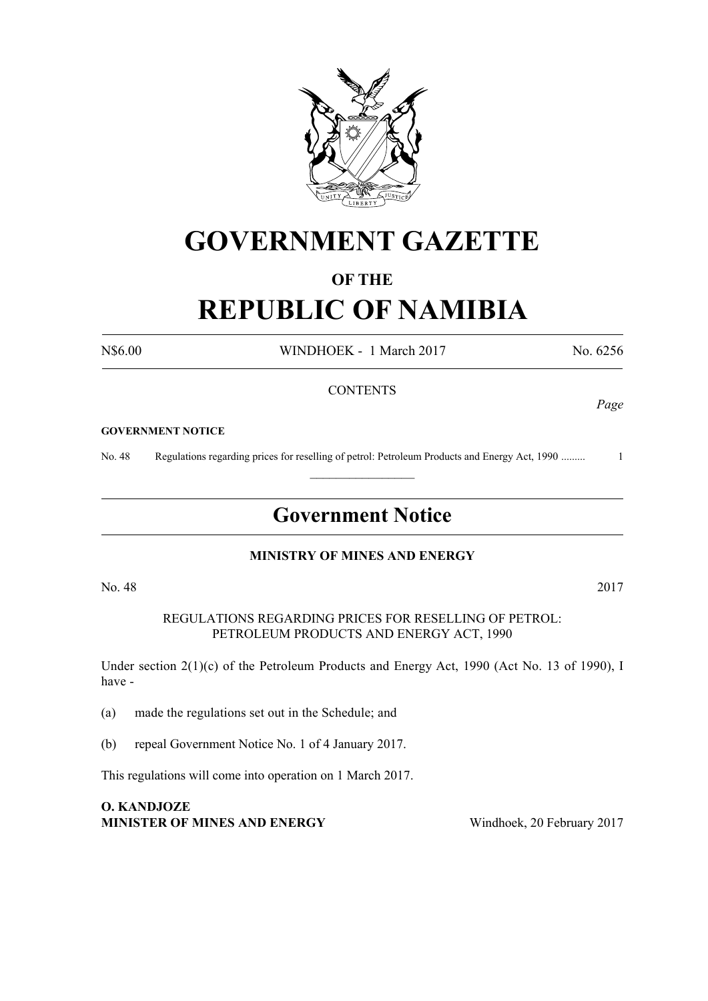

## **GOVERNMENT GAZETTE**

### **OF THE**

# **REPUBLIC OF NAMIBIA**

N\$6.00 WINDHOEK - 1 March 2017 No. 6256

#### **CONTENTS**

#### **GOVERNMENT NOTICE**

No. 48 Regulations regarding prices for reselling of petrol: Petroleum Products and Energy Act, 1990 ......... 1  $\frac{1}{2}$ 

### **Government Notice**

#### **MINISTRY OF MINES AND ENERGY**

No. 48 2017

REGULATIONS REGARDING PRICES FOR RESELLING OF PETROL: PETROLEUM PRODUCTS AND ENERGY ACT, 1990

Under section 2(1)(c) of the Petroleum Products and Energy Act, 1990 (Act No. 13 of 1990), I have -

(a) made the regulations set out in the Schedule; and

(b) repeal Government Notice No. 1 of 4 January 2017.

This regulations will come into operation on 1 March 2017.

**O. KANDJOZE Minister of Mines and Energy** Windhoek, 20 February 2017

*Page*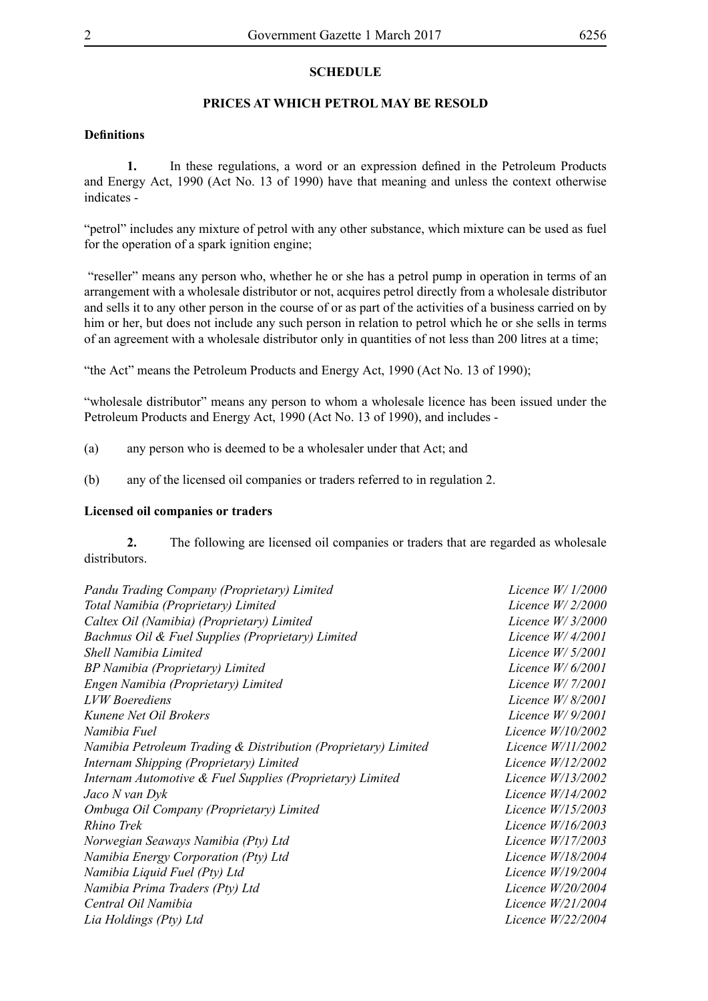#### **SCHEDULE**

#### **PRICES AT WHICH PETROL MAY BE RESOLD**

#### **Definitions**

**1.** In these regulations, a word or an expression defined in the Petroleum Products and Energy Act, 1990 (Act No. 13 of 1990) have that meaning and unless the context otherwise indicates -

"petrol" includes any mixture of petrol with any other substance, which mixture can be used as fuel for the operation of a spark ignition engine;

 "reseller" means any person who, whether he or she has a petrol pump in operation in terms of an arrangement with a wholesale distributor or not, acquires petrol directly from a wholesale distributor and sells it to any other person in the course of or as part of the activities of a business carried on by him or her, but does not include any such person in relation to petrol which he or she sells in terms of an agreement with a wholesale distributor only in quantities of not less than 200 litres at a time;

"the Act" means the Petroleum Products and Energy Act, 1990 (Act No. 13 of 1990);

"wholesale distributor" means any person to whom a wholesale licence has been issued under the Petroleum Products and Energy Act, 1990 (Act No. 13 of 1990), and includes -

- (a) any person who is deemed to be a wholesaler under that Act; and
- (b) any of the licensed oil companies or traders referred to in regulation 2.

#### **Licensed oil companies or traders**

**2.** The following are licensed oil companies or traders that are regarded as wholesale distributors.

| Pandu Trading Company (Proprietary) Limited                    | Licence $W/1/2000$  |
|----------------------------------------------------------------|---------------------|
| Total Namibia (Proprietary) Limited                            | Licence $W/2/2000$  |
| Caltex Oil (Namibia) (Proprietary) Limited                     | Licence $W/3/2000$  |
| Bachmus Oil & Fuel Supplies (Proprietary) Limited              | Licence $W/4/2001$  |
| Shell Namibia Limited                                          | Licence $W/5/2001$  |
| BP Namibia (Proprietary) Limited                               | Licence $W/6/2001$  |
| Engen Namibia (Proprietary) Limited                            | Licence W/ 7/2001   |
| <b>LVW</b> Boerediens                                          | Licence $W/8/2001$  |
| Kunene Net Oil Brokers                                         | Licence $W/9/2001$  |
| Namibia Fuel                                                   | Licence $W/10/2002$ |
| Namibia Petroleum Trading & Distribution (Proprietary) Limited | Licence $W/11/2002$ |
| Internam Shipping (Proprietary) Limited                        | Licence W/12/2002   |
| Internam Automotive & Fuel Supplies (Proprietary) Limited      | Licence W/13/2002   |
| Jaco N van Dyk                                                 | Licence $W/14/2002$ |
| Ombuga Oil Company (Proprietary) Limited                       | Licence W/15/2003   |
| Rhino Trek                                                     | Licence W/16/2003   |
| Norwegian Seaways Namibia (Pty) Ltd                            | Licence W/17/2003   |
| Namibia Energy Corporation (Pty) Ltd                           | Licence W/18/2004   |
| Namibia Liquid Fuel (Pty) Ltd                                  | Licence W/19/2004   |
| Namibia Prima Traders (Pty) Ltd                                | Licence W/20/2004   |
| Central Oil Namibia                                            | Licence W/21/2004   |
| Lia Holdings (Pty) Ltd                                         | Licence $W/22/2004$ |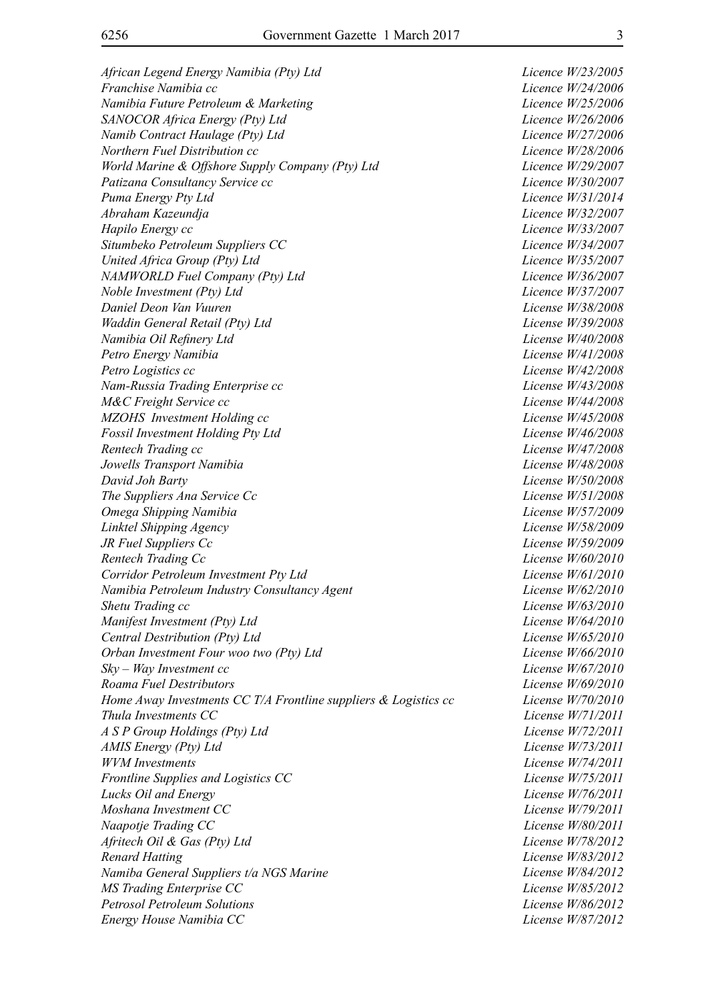*African Legend Energy Namibia (Pty) Ltd Licence W/23/2005 Franchise Namibia cc* Licence W/24/2006 *Namibia Future Petroleum & Marketing Licence W/25/2006 SANOCOR Africa Energy (Pty) Ltd Licence W/26/2006 Namib Contract Haulage (Pty) Ltd Licence W/27/2006 Northern Fuel Distribution cc Licence W/28/2006 World Marine & Offshore Supply Company (Pty) Ltd Licence W/29/2007 Patizana Consultancy Service cc Licence W/30/2007 Puma Energy Pty Ltd Licence W/31/2014 Abraham Kazeundja Licence W/32/2007 Hapilo Energy cc Licence W/33/2007 Situmbeko Petroleum Suppliers CC Licence W/34/2007 United Africa Group (Pty) Ltd Licence W/35/2007 NAMWORLD Fuel Company (Pty) Ltd Licence W/36/2007 Noble Investment (Pty) Ltd Licence W/37/2007 Daniel Deon Van Vuuren License W/38/2008 Waddin General Retail (Pty) Ltd License W/39/2008 Namibia Oil Refinery Ltd License W/40/2008 Petro Energy Namibia License W/41/2008 Petro Logistics cc License W/42/2008 Nam-Russia Trading Enterprise cc License W/43/2008 M&C Freight Service cc License W/44/2008 MZOHS Investment Holding cc License W/45/2008 Fossil Investment Holding Pty Ltd License W/46/2008 Rentech Trading cc License W/47/2008 Jowells Transport Namibia License W/48/2008 David Joh Barty License W/50/2008 The Suppliers Ana Service Cc License W/51/2008 Omega Shipping Namibia License W/57/2009 Linktel Shipping Agency License W/58/2009 JR Fuel Suppliers Cc License W/59/2009 Rentech Trading Cc Cc License W/60/2010 Corridor Petroleum Investment Pty Ltd License W/61/2010 Namibia Petroleum Industry Consultancy Agent License W/62/2010 Shetu Trading cc License W/63/2010 Manifest Investment (Pty) Ltd License W/64/2010 Central Destribution (Pty) Ltd License W/65/2010 Orban Investment Four woo two (Pty) Ltd License W/66/2010 Sky – Way Investment cc License W/67/2010 Roama Fuel Destributors License W/69/2010 Home Away Investments CC T/A Frontline suppliers & Logistics cc License W/70/2010 Thula Investments CC License W/71/2011 A S P Group Holdings (Pty) Ltd License W/72/2011 AMIS Energy (Pty) Ltd License W/73/2011 WVM Investments License W/74/2011 Frontline Supplies and Logistics CC License W/75/2011 Lucks Oil and Energy License W/76/2011 Moshana Investment CC License W/79/2011 Naapotje Trading CC* License W/80/2011 *Afritech Oil & Gas (Pty) Ltd License W/78/2012 Renard Hatting License W/83/2012 Namiba General Suppliers t/a NGS Marine License W/84/2012 MS Trading Enterprise CC* License W/85/2012 *Petrosol Petroleum Solutions License W/86/2012 Energy House Namibia CC License W/87/2012*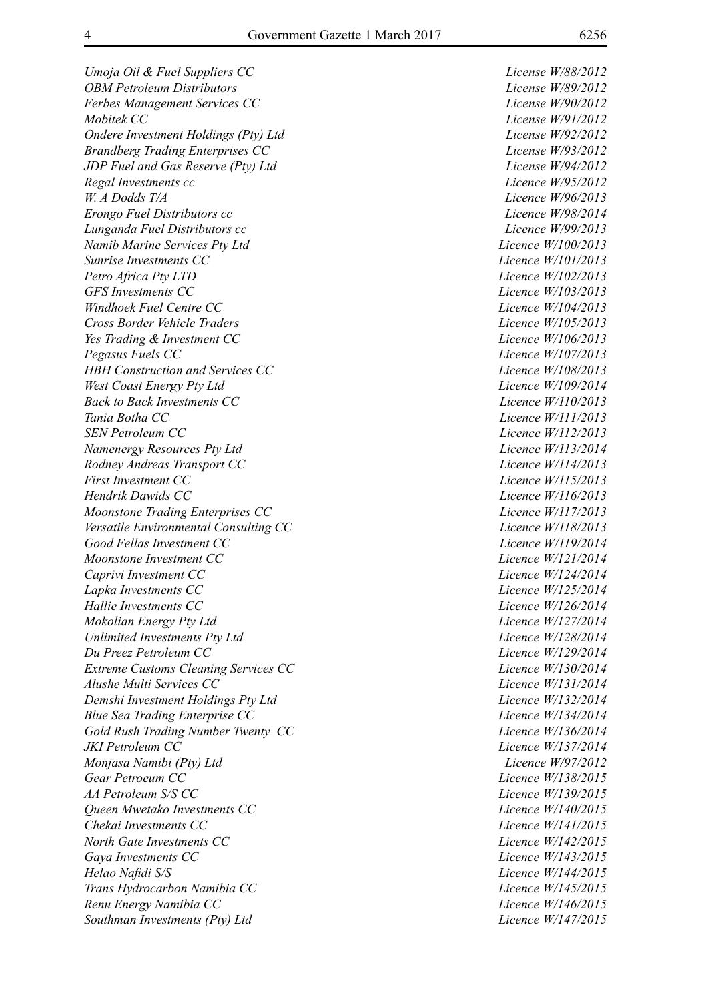*Umoja Oil & Fuel Suppliers CC License W/88/2012 OBM Petroleum Distributors License W/89/2012 Ferbes Management Services CC License W/90/2012 Mobitek CC License W/91/2012 Ondere Investment Holdings (Pty) Ltd License W/92/2012 Brandberg Trading Enterprises CC License W/93/2012 JDP Fuel and Gas Reserve (Pty) Ltd License W/94/2012 Regal Investments cc Licence W/95/2012 W. A Dodds T/A Licence W/96/2013 Erongo Fuel Distributors cc Licence W/98/2014 Lunganda Fuel Distributors cc Licence W/99/2013 Namib Marine Services Pty Ltd Licence W/100/2013 Sunrise Investments CC Licence W/101/2013 Petro Africa Pty LTD Licence W/102/2013 GFS Investments CC Licence W/103/2013 Windhoek Fuel Centre CC Licence W/104/2013 Cross Border Vehicle Traders Licence W/105/2013 Yes Trading & Investment CC Licence W/106/2013 Pegasus Fuels CC Licence W/107/2013 HBH Construction and Services CC Licence W/108/2013 West Coast Energy Pty Ltd Licence W/109/2014 Back to Back Investments CC Licence W/110/2013 Tania Botha CC Licence W/111/2013 SEN Petroleum CC Licence W/112/2013 Namenergy Resources Pty Ltd Licence W/113/2014 Rodney Andreas Transport CC Licence W/114/2013 First Investment CC Licence W/115/2013 Hendrik Dawids CC Licence W/116/2013 Moonstone Trading Enterprises CC Licence W/117/2013 Versatile Environmental Consulting CC Licence W/118/2013 Good Fellas Investment CC Licence W/119/2014 Moonstone Investment CC Licence W/121/2014 Caprivi Investment CC Licence W/124/2014 Lapka Investments CC Licence W/125/2014 Hallie Investments CC Licence W/126/2014 Mokolian Energy Pty Ltd Licence W/127/2014 Unlimited Investments Pty Ltd Licence W/128/2014 Du Preez Petroleum CC Licence W/129/2014 Extreme Customs Cleaning Services CC Licence W/130/2014 Alushe Multi Services CC Licence W/131/2014 Demshi Investment Holdings Pty Ltd Licence W/132/2014 Blue Sea Trading Enterprise CC Licence W/134/2014 Gold Rush Trading Number Twenty CC Licence W/136/2014 JKI Petroleum CC Licence W/137/2014 Monjasa Namibi (Pty) Ltd Licence W/97/2012 Gear Petroeum CC Licence W/138/2015 AA Petroleum S/S CC Licence W/139/2015 Queen Mwetako Investments CC Licence W/140/2015 Chekai Investments CC Licence W/141/2015 North Gate Investments CC Licence W/142/2015 Gaya Investments CC Licence W/143/2015 Helao Nafidi S/S Licence W/144/2015 Trans Hydrocarbon Namibia CC Licence W/145/2015 Renu Energy Namibia CC Licence W/146/2015 Southman Investments (Pty) Ltd Licence W/147/2015*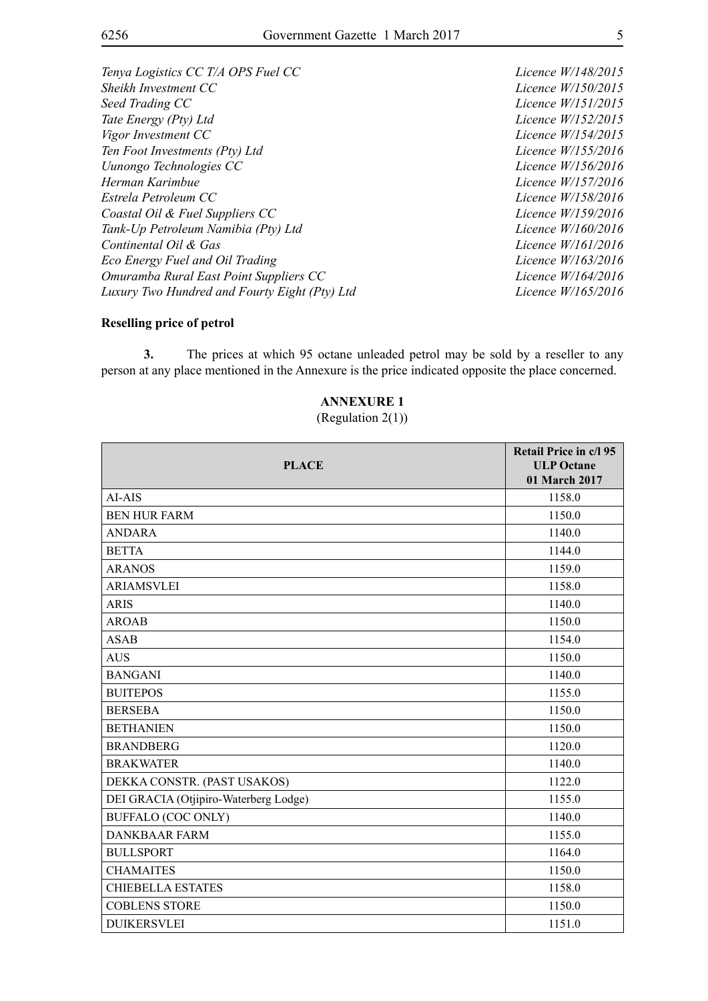*Tenya Logistics CC T/A OPS Fuel CC Licence W/148/2015 Sheikh Investment CC Licence W/150/2015 Seed Trading CC Licence W/151/2015 Tate Energy (Pty) Ltd Licence W/152/2015 Vigor Investment CC Licence W/154/2015 Ten Foot Investments (Pty) Ltd Licence W/155/2016 Uunongo Technologies CC Licence W/156/2016 Herman Karimbue Licence W/157/2016 Estrela Petroleum CC Licence W/158/2016 Coastal Oil & Fuel Suppliers CC Licence W/159/2016 Tank-Up Petroleum Namibia (Pty) Ltd Licence W/160/2016 Continental Oil & Gas Licence W/161/2016 Eco Energy Fuel and Oil Trading Licence W/163/2016 Omuramba Rural East Point Suppliers CC Licence W/164/2016 Luxury Two Hundred and Fourty Eight (Pty) Ltd Licence W/165/2016*

#### **Reselling price of petrol**

**3.** The prices at which 95 octane unleaded petrol may be sold by a reseller to any person at any place mentioned in the Annexure is the price indicated opposite the place concerned.

#### **ANNEXURE 1**

(Regulation 2(1))

| <b>PLACE</b>                          | Retail Price in c/l 95<br><b>ULP Octane</b><br>01 March 2017 |
|---------------------------------------|--------------------------------------------------------------|
| AI-AIS                                | 1158.0                                                       |
| <b>BEN HUR FARM</b>                   | 1150.0                                                       |
| <b>ANDARA</b>                         | 1140.0                                                       |
| <b>BETTA</b>                          | 1144.0                                                       |
| <b>ARANOS</b>                         | 1159.0                                                       |
| <b>ARIAMSVLEI</b>                     | 1158.0                                                       |
| <b>ARIS</b>                           | 1140.0                                                       |
| <b>AROAB</b>                          | 1150.0                                                       |
| <b>ASAB</b>                           | 1154.0                                                       |
| <b>AUS</b>                            | 1150.0                                                       |
| <b>BANGANI</b>                        | 1140.0                                                       |
| <b>BUITEPOS</b>                       | 1155.0                                                       |
| <b>BERSEBA</b>                        | 1150.0                                                       |
| <b>BETHANIEN</b>                      | 1150.0                                                       |
| <b>BRANDBERG</b>                      | 1120.0                                                       |
| <b>BRAKWATER</b>                      | 1140.0                                                       |
| DEKKA CONSTR. (PAST USAKOS)           | 1122.0                                                       |
| DEI GRACIA (Otjipiro-Waterberg Lodge) | 1155.0                                                       |
| <b>BUFFALO (COC ONLY)</b>             | 1140.0                                                       |
| <b>DANKBAAR FARM</b>                  | 1155.0                                                       |
| <b>BULLSPORT</b>                      | 1164.0                                                       |
| <b>CHAMAITES</b>                      | 1150.0                                                       |
| <b>CHIEBELLA ESTATES</b>              | 1158.0                                                       |
| <b>COBLENS STORE</b>                  | 1150.0                                                       |
| <b>DUIKERSVLEI</b>                    | 1151.0                                                       |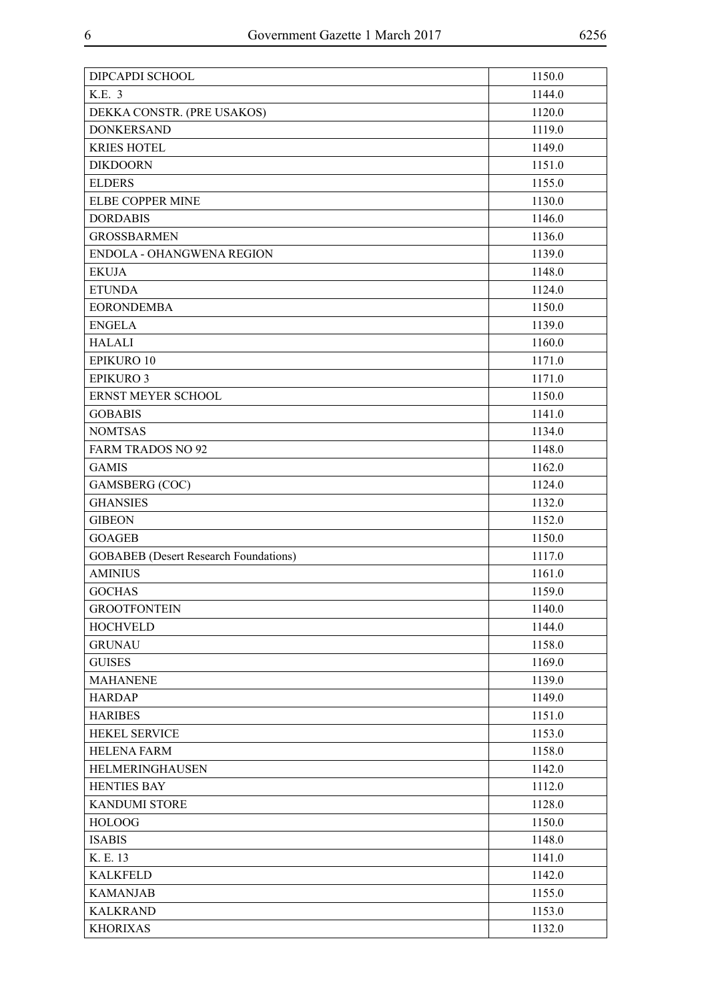| DIPCAPDI SCHOOL                              | 1150.0 |
|----------------------------------------------|--------|
| K.E. 3                                       | 1144.0 |
| DEKKA CONSTR. (PRE USAKOS)                   | 1120.0 |
| <b>DONKERSAND</b>                            | 1119.0 |
| <b>KRIES HOTEL</b>                           | 1149.0 |
| <b>DIKDOORN</b>                              | 1151.0 |
| <b>ELDERS</b>                                | 1155.0 |
| ELBE COPPER MINE                             | 1130.0 |
| <b>DORDABIS</b>                              | 1146.0 |
| <b>GROSSBARMEN</b>                           | 1136.0 |
| ENDOLA - OHANGWENA REGION                    | 1139.0 |
| <b>EKUJA</b>                                 | 1148.0 |
| <b>ETUNDA</b>                                | 1124.0 |
| <b>EORONDEMBA</b>                            | 1150.0 |
| <b>ENGELA</b>                                | 1139.0 |
| <b>HALALI</b>                                | 1160.0 |
| EPIKURO 10                                   | 1171.0 |
| <b>EPIKURO 3</b>                             | 1171.0 |
| ERNST MEYER SCHOOL                           | 1150.0 |
| <b>GOBABIS</b>                               | 1141.0 |
| <b>NOMTSAS</b>                               | 1134.0 |
| <b>FARM TRADOS NO 92</b>                     | 1148.0 |
| <b>GAMIS</b>                                 | 1162.0 |
| <b>GAMSBERG</b> (COC)                        | 1124.0 |
| <b>GHANSIES</b>                              | 1132.0 |
| <b>GIBEON</b>                                | 1152.0 |
| <b>GOAGEB</b>                                | 1150.0 |
| <b>GOBABEB</b> (Desert Research Foundations) | 1117.0 |
| <b>AMINIUS</b>                               | 1161.0 |
| <b>GOCHAS</b>                                | 1159.0 |
| <b>GROOTFONTEIN</b>                          | 1140.0 |
| <b>HOCHVELD</b>                              | 1144.0 |
| <b>GRUNAU</b>                                | 1158.0 |
| <b>GUISES</b>                                | 1169.0 |
| <b>MAHANENE</b>                              | 1139.0 |
| <b>HARDAP</b>                                | 1149.0 |
| <b>HARIBES</b>                               | 1151.0 |
| HEKEL SERVICE                                | 1153.0 |
| <b>HELENA FARM</b>                           | 1158.0 |
| HELMERINGHAUSEN                              | 1142.0 |
| <b>HENTIES BAY</b>                           | 1112.0 |
| <b>KANDUMI STORE</b>                         | 1128.0 |
| <b>HOLOOG</b>                                | 1150.0 |
| <b>ISABIS</b>                                | 1148.0 |
| K. E. 13                                     | 1141.0 |
| <b>KALKFELD</b>                              | 1142.0 |
| <b>KAMANJAB</b>                              | 1155.0 |
| <b>KALKRAND</b>                              | 1153.0 |
| <b>KHORIXAS</b>                              | 1132.0 |
|                                              |        |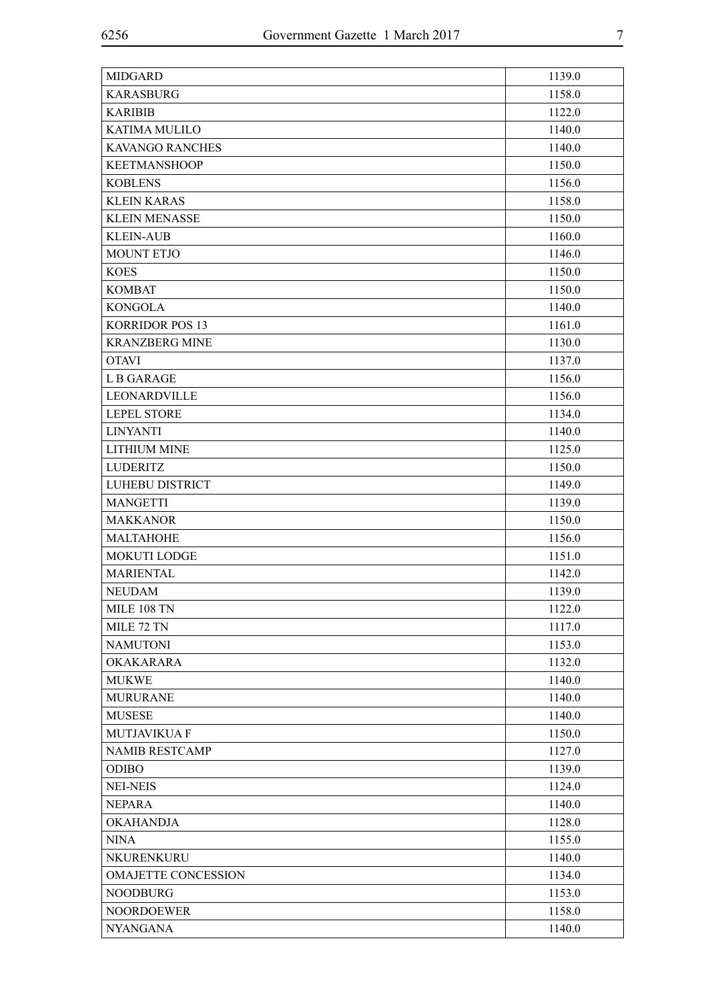| <b>MIDGARD</b>             | 1139.0 |
|----------------------------|--------|
| <b>KARASBURG</b>           | 1158.0 |
| <b>KARIBIB</b>             | 1122.0 |
| KATIMA MULILO              | 1140.0 |
| <b>KAVANGO RANCHES</b>     | 1140.0 |
| <b>KEETMANSHOOP</b>        | 1150.0 |
| <b>KOBLENS</b>             | 1156.0 |
| <b>KLEIN KARAS</b>         | 1158.0 |
| <b>KLEIN MENASSE</b>       | 1150.0 |
| <b>KLEIN-AUB</b>           | 1160.0 |
| <b>MOUNT ETJO</b>          | 1146.0 |
| <b>KOES</b>                | 1150.0 |
| <b>KOMBAT</b>              | 1150.0 |
| <b>KONGOLA</b>             | 1140.0 |
| <b>KORRIDOR POS 13</b>     | 1161.0 |
| <b>KRANZBERG MINE</b>      | 1130.0 |
| <b>OTAVI</b>               | 1137.0 |
| <b>LB GARAGE</b>           | 1156.0 |
| LEONARDVILLE               | 1156.0 |
| <b>LEPEL STORE</b>         | 1134.0 |
| <b>LINYANTI</b>            | 1140.0 |
| <b>LITHIUM MINE</b>        | 1125.0 |
| <b>LUDERITZ</b>            | 1150.0 |
| <b>LUHEBU DISTRICT</b>     | 1149.0 |
| <b>MANGETTI</b>            | 1139.0 |
| <b>MAKKANOR</b>            | 1150.0 |
| <b>MALTAHOHE</b>           | 1156.0 |
| <b>MOKUTI LODGE</b>        | 1151.0 |
| <b>MARIENTAL</b>           | 1142.0 |
| <b>NEUDAM</b>              | 1139.0 |
| MILE 108 TN                | 1122.0 |
| MILE 72 TN                 | 1117.0 |
| <b>NAMUTONI</b>            | 1153.0 |
| <b>OKAKARARA</b>           | 1132.0 |
| <b>MUKWE</b>               | 1140.0 |
| <b>MURURANE</b>            | 1140.0 |
| <b>MUSESE</b>              | 1140.0 |
| <b>MUTJAVIKUA F</b>        | 1150.0 |
| <b>NAMIB RESTCAMP</b>      | 1127.0 |
| <b>ODIBO</b>               | 1139.0 |
| <b>NEI-NEIS</b>            | 1124.0 |
| <b>NEPARA</b>              | 1140.0 |
| <b>OKAHANDJA</b>           | 1128.0 |
| <b>NINA</b>                | 1155.0 |
| NKURENKURU                 | 1140.0 |
| <b>OMAJETTE CONCESSION</b> | 1134.0 |
| <b>NOODBURG</b>            | 1153.0 |
| <b>NOORDOEWER</b>          | 1158.0 |
| <b>NYANGANA</b>            | 1140.0 |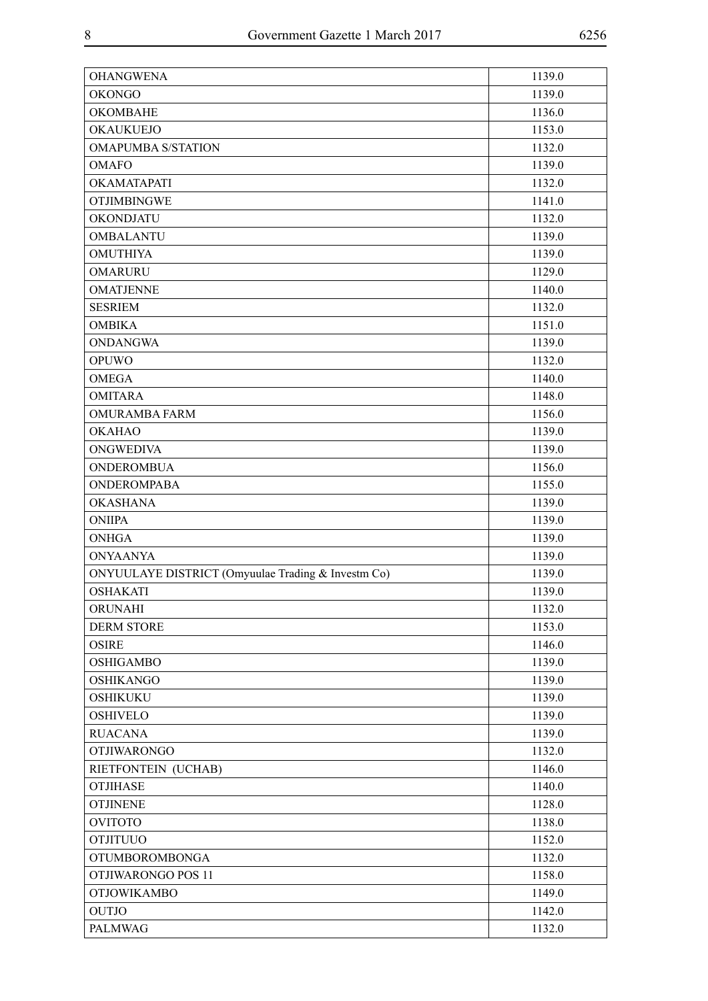| <b>OHANGWENA</b>                                   | 1139.0 |
|----------------------------------------------------|--------|
| <b>OKONGO</b>                                      | 1139.0 |
| <b>OKOMBAHE</b>                                    | 1136.0 |
| <b>OKAUKUEJO</b>                                   | 1153.0 |
| <b>OMAPUMBA S/STATION</b>                          | 1132.0 |
| <b>OMAFO</b>                                       | 1139.0 |
| OKAMATAPATI                                        | 1132.0 |
| <b>OTJIMBINGWE</b>                                 | 1141.0 |
| <b>OKONDJATU</b>                                   | 1132.0 |
| <b>OMBALANTU</b>                                   | 1139.0 |
| <b>OMUTHIYA</b>                                    | 1139.0 |
| <b>OMARURU</b>                                     | 1129.0 |
| <b>OMATJENNE</b>                                   | 1140.0 |
| <b>SESRIEM</b>                                     | 1132.0 |
| <b>OMBIKA</b>                                      | 1151.0 |
| <b>ONDANGWA</b>                                    | 1139.0 |
| <b>OPUWO</b>                                       | 1132.0 |
| <b>OMEGA</b>                                       | 1140.0 |
| <b>OMITARA</b>                                     | 1148.0 |
| <b>OMURAMBA FARM</b>                               | 1156.0 |
| <b>OKAHAO</b>                                      | 1139.0 |
| <b>ONGWEDIVA</b>                                   | 1139.0 |
| <b>ONDEROMBUA</b>                                  | 1156.0 |
| <b>ONDEROMPABA</b>                                 | 1155.0 |
| <b>OKASHANA</b>                                    | 1139.0 |
| <b>ONIIPA</b>                                      | 1139.0 |
| <b>ONHGA</b>                                       | 1139.0 |
| <b>ONYAANYA</b>                                    | 1139.0 |
| ONYUULAYE DISTRICT (Omyuulae Trading & Investm Co) | 1139.0 |
| <b>OSHAKATI</b>                                    | 1139.0 |
| ORUNAHI                                            | 1132.0 |
| <b>DERM STORE</b>                                  | 1153.0 |
| <b>OSIRE</b>                                       | 1146.0 |
| <b>OSHIGAMBO</b>                                   | 1139.0 |
| <b>OSHIKANGO</b>                                   | 1139.0 |
| <b>OSHIKUKU</b>                                    | 1139.0 |
| <b>OSHIVELO</b>                                    | 1139.0 |
| <b>RUACANA</b>                                     | 1139.0 |
| <b>OTJIWARONGO</b>                                 | 1132.0 |
| RIETFONTEIN (UCHAB)                                | 1146.0 |
| <b>OTJIHASE</b>                                    | 1140.0 |
| <b>OTJINENE</b>                                    | 1128.0 |
| <b>OVITOTO</b>                                     | 1138.0 |
| <b>OTJITUUO</b>                                    | 1152.0 |
| <b>OTUMBOROMBONGA</b>                              | 1132.0 |
| OTJIWARONGO POS 11                                 | 1158.0 |
| <b>OTJOWIKAMBO</b>                                 | 1149.0 |
| <b>OUTJO</b>                                       | 1142.0 |
| PALMWAG                                            | 1132.0 |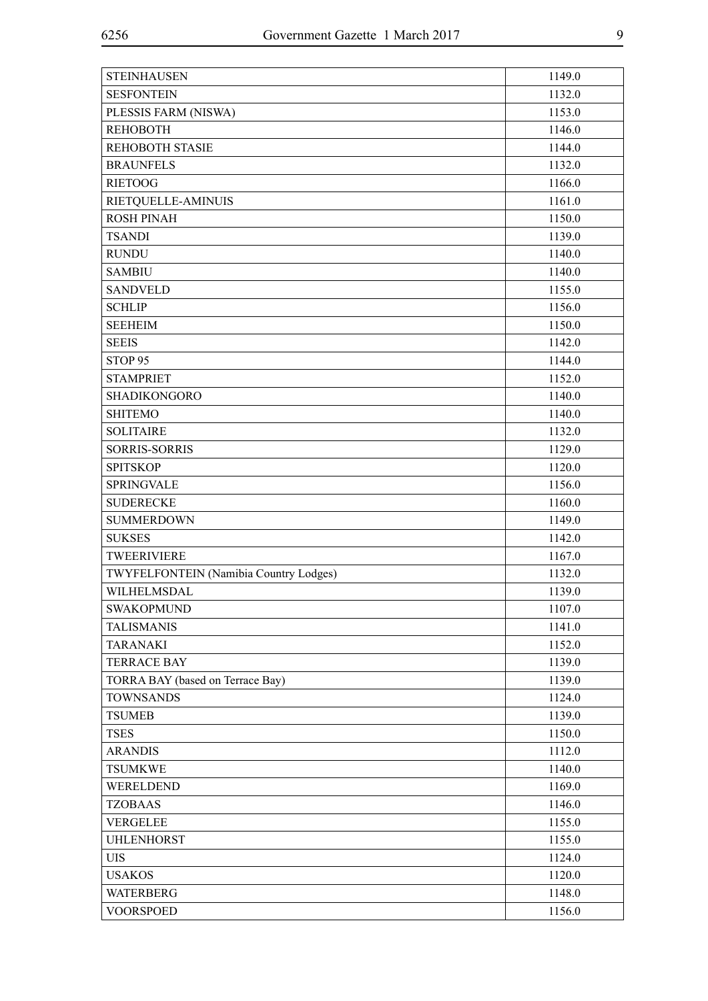| <b>STEINHAUSEN</b>                     | 1149.0 |
|----------------------------------------|--------|
| <b>SESFONTEIN</b>                      | 1132.0 |
| PLESSIS FARM (NISWA)                   | 1153.0 |
| <b>REHOBOTH</b>                        | 1146.0 |
| <b>REHOBOTH STASIE</b>                 | 1144.0 |
| <b>BRAUNFELS</b>                       | 1132.0 |
| <b>RIETOOG</b>                         | 1166.0 |
| RIETQUELLE-AMINUIS                     | 1161.0 |
| <b>ROSH PINAH</b>                      | 1150.0 |
| <b>TSANDI</b>                          | 1139.0 |
| <b>RUNDU</b>                           | 1140.0 |
| <b>SAMBIU</b>                          | 1140.0 |
| <b>SANDVELD</b>                        | 1155.0 |
| <b>SCHLIP</b>                          | 1156.0 |
| <b>SEEHEIM</b>                         | 1150.0 |
| <b>SEEIS</b>                           | 1142.0 |
| STOP <sub>95</sub>                     | 1144.0 |
| <b>STAMPRIET</b>                       | 1152.0 |
| <b>SHADIKONGORO</b>                    | 1140.0 |
| <b>SHITEMO</b>                         | 1140.0 |
| <b>SOLITAIRE</b>                       | 1132.0 |
| <b>SORRIS-SORRIS</b>                   | 1129.0 |
| <b>SPITSKOP</b>                        | 1120.0 |
| <b>SPRINGVALE</b>                      | 1156.0 |
| <b>SUDERECKE</b>                       | 1160.0 |
| <b>SUMMERDOWN</b>                      | 1149.0 |
| <b>SUKSES</b>                          | 1142.0 |
| TWEERIVIERE                            | 1167.0 |
| TWYFELFONTEIN (Namibia Country Lodges) | 1132.0 |
| WILHELMSDAL                            | 1139.0 |
| <b>SWAKOPMUND</b>                      | 1107.0 |
| <b>TALISMANIS</b>                      | 1141.0 |
| <b>TARANAKI</b>                        | 1152.0 |
| <b>TERRACE BAY</b>                     | 1139.0 |
| TORRA BAY (based on Terrace Bay)       | 1139.0 |
| <b>TOWNSANDS</b>                       | 1124.0 |
| <b>TSUMEB</b>                          | 1139.0 |
| <b>TSES</b>                            | 1150.0 |
| <b>ARANDIS</b>                         | 1112.0 |
| <b>TSUMKWE</b>                         | 1140.0 |
| WERELDEND                              | 1169.0 |
| <b>TZOBAAS</b>                         | 1146.0 |
| <b>VERGELEE</b>                        | 1155.0 |
| <b>UHLENHORST</b>                      | 1155.0 |
| <b>UIS</b>                             | 1124.0 |
| <b>USAKOS</b>                          | 1120.0 |
| <b>WATERBERG</b>                       | 1148.0 |
| <b>VOORSPOED</b>                       | 1156.0 |
|                                        |        |